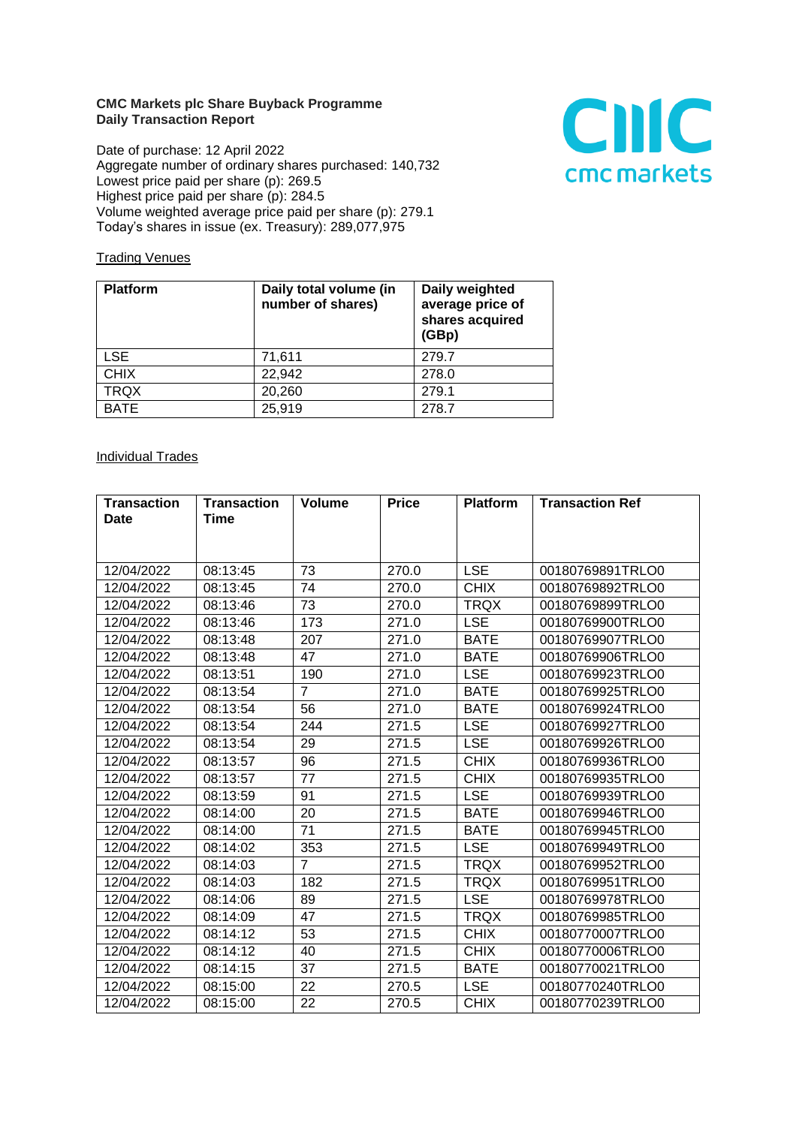## **CMC Markets plc Share Buyback Programme Daily Transaction Report**

Date of purchase: 12 April 2022 Aggregate number of ordinary shares purchased: 140,732 Lowest price paid per share (p): 269.5 Highest price paid per share (p): 284.5 Volume weighted average price paid per share (p): 279.1 Today's shares in issue (ex. Treasury): 289,077,975



## **Trading Venues**

| <b>Platform</b> | Daily total volume (in<br>number of shares) | Daily weighted<br>average price of<br>shares acquired<br>(GBp) |
|-----------------|---------------------------------------------|----------------------------------------------------------------|
| <b>LSE</b>      | 71,611                                      | 279.7                                                          |
| <b>CHIX</b>     | 22,942                                      | 278.0                                                          |
| <b>TRQX</b>     | 20,260                                      | 279.1                                                          |
| <b>BATE</b>     | 25,919                                      | 278.7                                                          |

## **Individual Trades**

| <b>Transaction</b> | <b>Transaction</b> | <b>Volume</b>  | <b>Price</b> | <b>Platform</b> | <b>Transaction Ref</b> |
|--------------------|--------------------|----------------|--------------|-----------------|------------------------|
| <b>Date</b>        | Time               |                |              |                 |                        |
|                    |                    |                |              |                 |                        |
|                    |                    |                |              |                 |                        |
| 12/04/2022         | 08:13:45           | 73             | 270.0        | <b>LSE</b>      | 00180769891TRLO0       |
| 12/04/2022         | 08:13:45           | 74             | 270.0        | <b>CHIX</b>     | 00180769892TRLO0       |
| 12/04/2022         | 08:13:46           | 73             | 270.0        | <b>TRQX</b>     | 00180769899TRLO0       |
| 12/04/2022         | 08:13:46           | 173            | 271.0        | <b>LSE</b>      | 00180769900TRLO0       |
| 12/04/2022         | 08:13:48           | 207            | 271.0        | <b>BATE</b>     | 00180769907TRLO0       |
| 12/04/2022         | 08:13:48           | 47             | 271.0        | <b>BATE</b>     | 00180769906TRLO0       |
| 12/04/2022         | 08:13:51           | 190            | 271.0        | <b>LSE</b>      | 00180769923TRLO0       |
| 12/04/2022         | 08:13:54           | $\overline{7}$ | 271.0        | <b>BATE</b>     | 00180769925TRLO0       |
| 12/04/2022         | 08:13:54           | 56             | 271.0        | <b>BATE</b>     | 00180769924TRLO0       |
| 12/04/2022         | 08:13:54           | 244            | 271.5        | <b>LSE</b>      | 00180769927TRLO0       |
| 12/04/2022         | 08:13:54           | 29             | 271.5        | <b>LSE</b>      | 00180769926TRLO0       |
| 12/04/2022         | 08:13:57           | 96             | 271.5        | <b>CHIX</b>     | 00180769936TRLO0       |
| 12/04/2022         | 08:13:57           | 77             | 271.5        | <b>CHIX</b>     | 00180769935TRLO0       |
| 12/04/2022         | 08:13:59           | 91             | 271.5        | <b>LSE</b>      | 00180769939TRLO0       |
| 12/04/2022         | 08:14:00           | 20             | 271.5        | <b>BATE</b>     | 00180769946TRLO0       |
| 12/04/2022         | 08:14:00           | 71             | 271.5        | <b>BATE</b>     | 00180769945TRLO0       |
| 12/04/2022         | 08:14:02           | 353            | 271.5        | <b>LSE</b>      | 00180769949TRLO0       |
| 12/04/2022         | 08:14:03           | $\overline{7}$ | 271.5        | <b>TRQX</b>     | 00180769952TRLO0       |
| 12/04/2022         | 08:14:03           | 182            | 271.5        | <b>TRQX</b>     | 00180769951TRLO0       |
| 12/04/2022         | 08:14:06           | 89             | 271.5        | <b>LSE</b>      | 00180769978TRLO0       |
| 12/04/2022         | 08:14:09           | 47             | 271.5        | <b>TRQX</b>     | 00180769985TRLO0       |
| 12/04/2022         | 08:14:12           | 53             | 271.5        | <b>CHIX</b>     | 00180770007TRLO0       |
| 12/04/2022         | 08:14:12           | 40             | 271.5        | <b>CHIX</b>     | 00180770006TRLO0       |
| 12/04/2022         | 08:14:15           | 37             | 271.5        | <b>BATE</b>     | 00180770021TRLO0       |
| 12/04/2022         | 08:15:00           | 22             | 270.5        | <b>LSE</b>      | 00180770240TRLO0       |
| 12/04/2022         | 08:15:00           | 22             | 270.5        | <b>CHIX</b>     | 00180770239TRLO0       |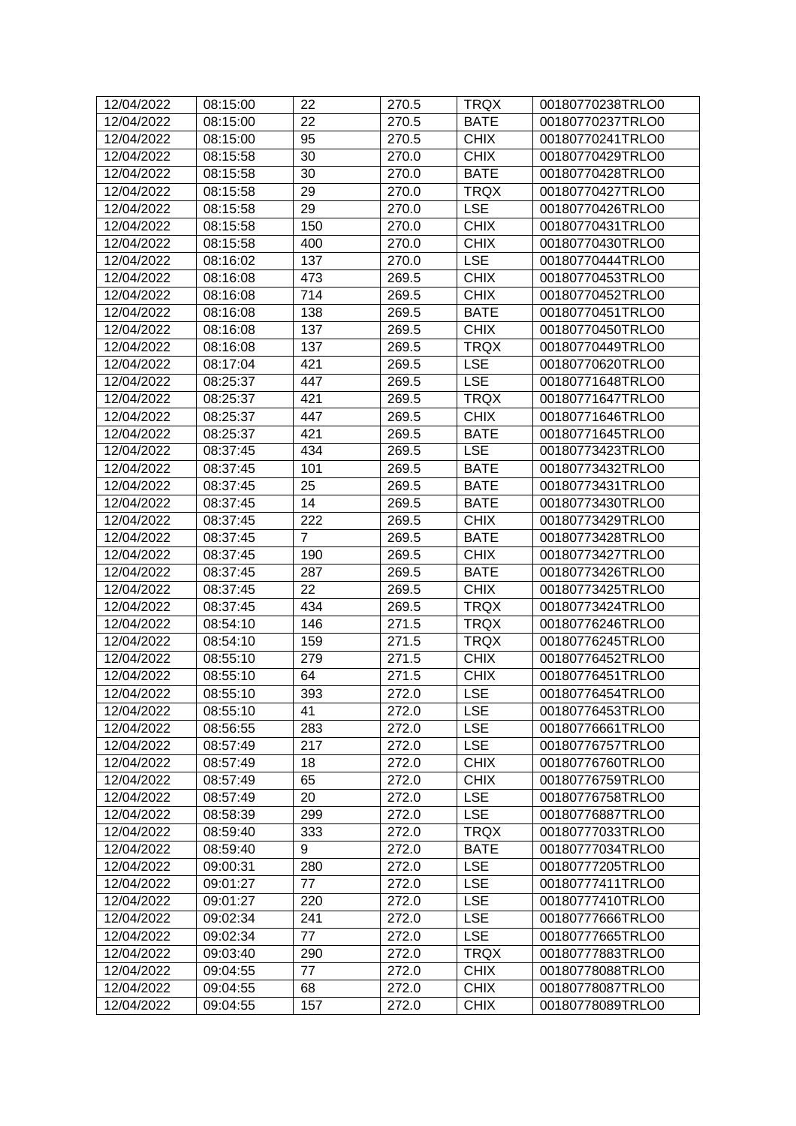| 12/04/2022 | 08:15:00 | 22             | 270.5 | <b>TRQX</b> | 00180770238TRLO0 |
|------------|----------|----------------|-------|-------------|------------------|
| 12/04/2022 | 08:15:00 | 22             | 270.5 | <b>BATE</b> | 00180770237TRLO0 |
| 12/04/2022 | 08:15:00 | 95             | 270.5 | <b>CHIX</b> | 00180770241TRLO0 |
| 12/04/2022 | 08:15:58 | 30             | 270.0 | <b>CHIX</b> | 00180770429TRLO0 |
| 12/04/2022 | 08:15:58 | 30             | 270.0 | <b>BATE</b> | 00180770428TRLO0 |
| 12/04/2022 | 08:15:58 | 29             | 270.0 | <b>TRQX</b> | 00180770427TRLO0 |
| 12/04/2022 | 08:15:58 | 29             | 270.0 | <b>LSE</b>  | 00180770426TRLO0 |
| 12/04/2022 | 08:15:58 | 150            | 270.0 | <b>CHIX</b> | 00180770431TRLO0 |
| 12/04/2022 | 08:15:58 | 400            | 270.0 | <b>CHIX</b> | 00180770430TRLO0 |
| 12/04/2022 | 08:16:02 | 137            | 270.0 | <b>LSE</b>  | 00180770444TRLO0 |
| 12/04/2022 | 08:16:08 | 473            | 269.5 | <b>CHIX</b> | 00180770453TRLO0 |
| 12/04/2022 | 08:16:08 | 714            | 269.5 | <b>CHIX</b> | 00180770452TRLO0 |
| 12/04/2022 | 08:16:08 | 138            | 269.5 | <b>BATE</b> | 00180770451TRLO0 |
| 12/04/2022 | 08:16:08 | 137            | 269.5 | <b>CHIX</b> | 00180770450TRLO0 |
| 12/04/2022 | 08:16:08 | 137            | 269.5 | <b>TRQX</b> | 00180770449TRLO0 |
| 12/04/2022 | 08:17:04 | 421            | 269.5 | <b>LSE</b>  | 00180770620TRLO0 |
| 12/04/2022 | 08:25:37 | 447            | 269.5 | <b>LSE</b>  | 00180771648TRLO0 |
| 12/04/2022 | 08:25:37 | 421            | 269.5 | <b>TRQX</b> | 00180771647TRLO0 |
| 12/04/2022 | 08:25:37 | 447            | 269.5 | <b>CHIX</b> | 00180771646TRLO0 |
| 12/04/2022 | 08:25:37 | 421            | 269.5 | <b>BATE</b> | 00180771645TRLO0 |
| 12/04/2022 | 08:37:45 | 434            | 269.5 | <b>LSE</b>  | 00180773423TRLO0 |
| 12/04/2022 | 08:37:45 | 101            | 269.5 | <b>BATE</b> | 00180773432TRLO0 |
| 12/04/2022 | 08:37:45 | 25             | 269.5 | <b>BATE</b> | 00180773431TRLO0 |
| 12/04/2022 | 08:37:45 | 14             | 269.5 | <b>BATE</b> | 00180773430TRLO0 |
| 12/04/2022 | 08:37:45 | 222            | 269.5 | <b>CHIX</b> | 00180773429TRLO0 |
| 12/04/2022 | 08:37:45 | $\overline{7}$ | 269.5 | <b>BATE</b> | 00180773428TRLO0 |
| 12/04/2022 | 08:37:45 | 190            | 269.5 | <b>CHIX</b> | 00180773427TRLO0 |
| 12/04/2022 | 08:37:45 | 287            | 269.5 | <b>BATE</b> | 00180773426TRLO0 |
| 12/04/2022 | 08:37:45 | 22             | 269.5 | <b>CHIX</b> | 00180773425TRLO0 |
| 12/04/2022 | 08:37:45 | 434            | 269.5 | <b>TRQX</b> | 00180773424TRLO0 |
| 12/04/2022 | 08:54:10 | 146            | 271.5 | <b>TRQX</b> | 00180776246TRLO0 |
| 12/04/2022 | 08:54:10 | 159            | 271.5 | <b>TRQX</b> | 00180776245TRLO0 |
| 12/04/2022 | 08:55:10 | 279            | 271.5 | <b>CHIX</b> | 00180776452TRLO0 |
| 12/04/2022 | 08:55:10 | 64             | 271.5 | <b>CHIX</b> | 00180776451TRLO0 |
| 12/04/2022 | 08:55:10 | 393            | 272.0 | <b>LSE</b>  | 00180776454TRLO0 |
| 12/04/2022 | 08:55:10 | 41             | 272.0 | <b>LSE</b>  | 00180776453TRLO0 |
| 12/04/2022 | 08:56:55 | 283            | 272.0 | <b>LSE</b>  | 00180776661TRLO0 |
| 12/04/2022 | 08:57:49 | 217            | 272.0 | <b>LSE</b>  | 00180776757TRLO0 |
| 12/04/2022 | 08:57:49 | 18             | 272.0 | <b>CHIX</b> | 00180776760TRLO0 |
| 12/04/2022 | 08:57:49 | 65             | 272.0 | <b>CHIX</b> | 00180776759TRLO0 |
| 12/04/2022 | 08:57:49 | 20             | 272.0 | <b>LSE</b>  | 00180776758TRLO0 |
| 12/04/2022 | 08:58:39 | 299            | 272.0 | <b>LSE</b>  | 00180776887TRLO0 |
| 12/04/2022 | 08:59:40 | 333            | 272.0 | <b>TRQX</b> | 00180777033TRLO0 |
| 12/04/2022 | 08:59:40 | 9              | 272.0 | <b>BATE</b> | 00180777034TRLO0 |
| 12/04/2022 | 09:00:31 | 280            | 272.0 | <b>LSE</b>  | 00180777205TRLO0 |
| 12/04/2022 | 09:01:27 | 77             | 272.0 | <b>LSE</b>  | 00180777411TRLO0 |
| 12/04/2022 | 09:01:27 | 220            | 272.0 | <b>LSE</b>  | 00180777410TRLO0 |
| 12/04/2022 | 09:02:34 | 241            | 272.0 | <b>LSE</b>  | 00180777666TRLO0 |
| 12/04/2022 | 09:02:34 | 77             | 272.0 | <b>LSE</b>  | 00180777665TRLO0 |
| 12/04/2022 | 09:03:40 | 290            | 272.0 | <b>TRQX</b> | 00180777883TRLO0 |
| 12/04/2022 | 09:04:55 | 77             | 272.0 | <b>CHIX</b> | 00180778088TRLO0 |
| 12/04/2022 | 09:04:55 | 68             | 272.0 | <b>CHIX</b> | 00180778087TRLO0 |
| 12/04/2022 | 09:04:55 | 157            | 272.0 | <b>CHIX</b> | 00180778089TRLO0 |
|            |          |                |       |             |                  |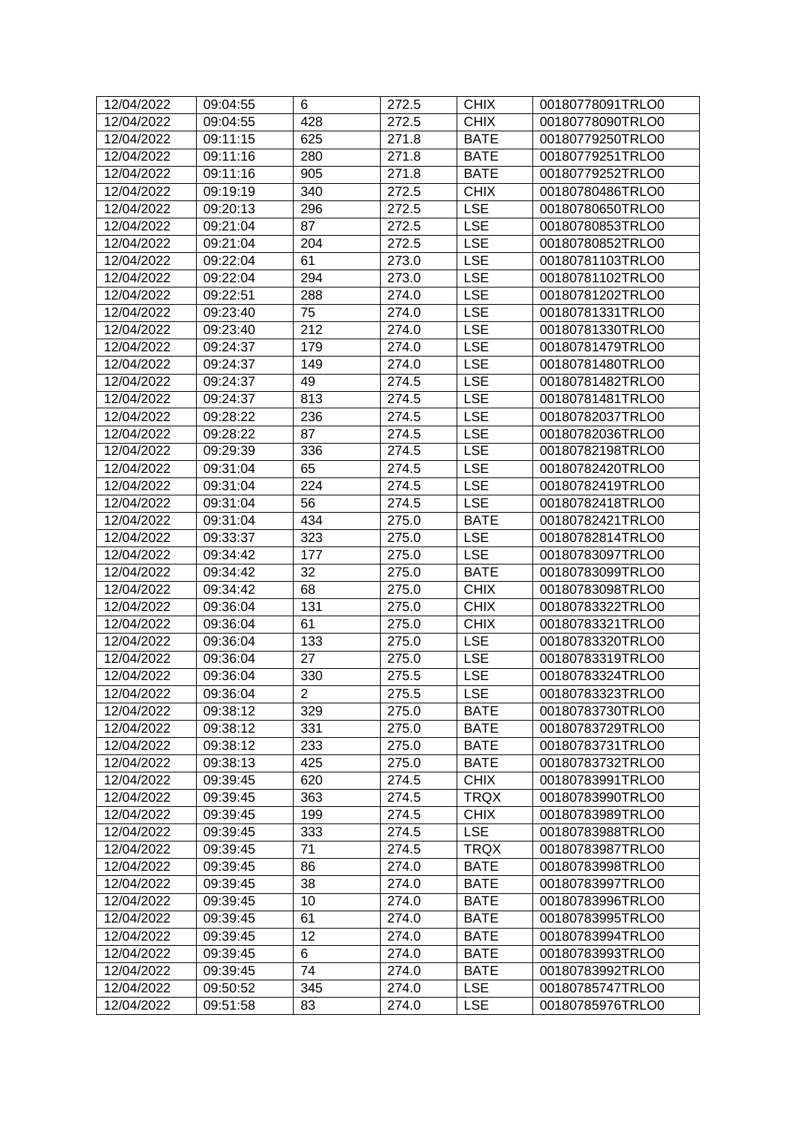| 12/04/2022 | 09:04:55 | 6              | 272.5 | <b>CHIX</b> | 00180778091TRLO0 |
|------------|----------|----------------|-------|-------------|------------------|
| 12/04/2022 | 09:04:55 | 428            | 272.5 | <b>CHIX</b> | 00180778090TRLO0 |
| 12/04/2022 | 09:11:15 | 625            | 271.8 | <b>BATE</b> | 00180779250TRLO0 |
| 12/04/2022 | 09:11:16 | 280            | 271.8 | <b>BATE</b> | 00180779251TRLO0 |
| 12/04/2022 | 09:11:16 | 905            | 271.8 | <b>BATE</b> | 00180779252TRLO0 |
| 12/04/2022 | 09:19:19 | 340            | 272.5 | <b>CHIX</b> | 00180780486TRLO0 |
| 12/04/2022 | 09:20:13 | 296            | 272.5 | <b>LSE</b>  | 00180780650TRLO0 |
| 12/04/2022 | 09:21:04 | 87             | 272.5 | <b>LSE</b>  | 00180780853TRLO0 |
| 12/04/2022 | 09:21:04 | 204            | 272.5 | <b>LSE</b>  | 00180780852TRLO0 |
| 12/04/2022 | 09:22:04 | 61             | 273.0 | <b>LSE</b>  | 00180781103TRLO0 |
| 12/04/2022 | 09:22:04 | 294            | 273.0 | <b>LSE</b>  | 00180781102TRLO0 |
| 12/04/2022 | 09:22:51 | 288            | 274.0 | <b>LSE</b>  | 00180781202TRLO0 |
| 12/04/2022 | 09:23:40 | 75             | 274.0 | <b>LSE</b>  | 00180781331TRLO0 |
| 12/04/2022 | 09:23:40 | 212            | 274.0 | <b>LSE</b>  | 00180781330TRLO0 |
| 12/04/2022 | 09:24:37 | 179            | 274.0 | <b>LSE</b>  | 00180781479TRLO0 |
| 12/04/2022 | 09:24:37 | 149            | 274.0 | <b>LSE</b>  | 00180781480TRLO0 |
| 12/04/2022 | 09:24:37 | 49             | 274.5 | <b>LSE</b>  | 00180781482TRLO0 |
| 12/04/2022 | 09:24:37 | 813            | 274.5 | <b>LSE</b>  | 00180781481TRLO0 |
| 12/04/2022 | 09:28:22 | 236            | 274.5 | <b>LSE</b>  | 00180782037TRLO0 |
| 12/04/2022 | 09:28:22 | 87             | 274.5 | <b>LSE</b>  | 00180782036TRLO0 |
| 12/04/2022 | 09:29:39 | 336            | 274.5 | <b>LSE</b>  | 00180782198TRLO0 |
| 12/04/2022 | 09:31:04 | 65             | 274.5 | <b>LSE</b>  | 00180782420TRLO0 |
| 12/04/2022 | 09:31:04 | 224            | 274.5 | <b>LSE</b>  | 00180782419TRLO0 |
| 12/04/2022 | 09:31:04 | 56             | 274.5 | <b>LSE</b>  | 00180782418TRLO0 |
| 12/04/2022 | 09:31:04 | 434            | 275.0 | <b>BATE</b> | 00180782421TRLO0 |
| 12/04/2022 | 09:33:37 | 323            | 275.0 | <b>LSE</b>  | 00180782814TRLO0 |
| 12/04/2022 | 09:34:42 | 177            | 275.0 | <b>LSE</b>  | 00180783097TRLO0 |
| 12/04/2022 | 09:34:42 | 32             | 275.0 | <b>BATE</b> | 00180783099TRLO0 |
| 12/04/2022 | 09:34:42 | 68             | 275.0 | <b>CHIX</b> | 00180783098TRLO0 |
| 12/04/2022 | 09:36:04 | 131            | 275.0 | <b>CHIX</b> | 00180783322TRLO0 |
| 12/04/2022 | 09:36:04 | 61             | 275.0 | <b>CHIX</b> | 00180783321TRLO0 |
| 12/04/2022 | 09:36:04 | 133            | 275.0 | <b>LSE</b>  | 00180783320TRLO0 |
| 12/04/2022 | 09:36:04 | 27             | 275.0 | <b>LSE</b>  | 00180783319TRLO0 |
| 12/04/2022 | 09:36:04 | 330            | 275.5 | <b>LSE</b>  | 00180783324TRLO0 |
| 12/04/2022 | 09:36:04 | $\overline{2}$ | 275.5 | <b>LSE</b>  | 00180783323TRLO0 |
| 12/04/2022 | 09:38:12 | 329            | 275.0 | <b>BATE</b> | 00180783730TRLO0 |
| 12/04/2022 | 09:38:12 | 331            | 275.0 | <b>BATE</b> | 00180783729TRLO0 |
| 12/04/2022 | 09:38:12 | 233            | 275.0 | <b>BATE</b> | 00180783731TRLO0 |
| 12/04/2022 | 09:38:13 | 425            | 275.0 | <b>BATE</b> | 00180783732TRLO0 |
| 12/04/2022 | 09:39:45 | 620            | 274.5 | <b>CHIX</b> | 00180783991TRLO0 |
| 12/04/2022 | 09:39:45 | 363            | 274.5 | <b>TRQX</b> | 00180783990TRLO0 |
| 12/04/2022 | 09:39:45 | 199            | 274.5 | <b>CHIX</b> | 00180783989TRLO0 |
| 12/04/2022 | 09:39:45 | 333            | 274.5 | <b>LSE</b>  | 00180783988TRLO0 |
| 12/04/2022 | 09:39:45 | 71             | 274.5 | <b>TRQX</b> | 00180783987TRLO0 |
| 12/04/2022 | 09:39:45 | 86             | 274.0 | <b>BATE</b> | 00180783998TRLO0 |
| 12/04/2022 | 09:39:45 | 38             | 274.0 | <b>BATE</b> | 00180783997TRLO0 |
| 12/04/2022 | 09:39:45 | 10             | 274.0 | <b>BATE</b> | 00180783996TRLO0 |
| 12/04/2022 | 09:39:45 | 61             | 274.0 | <b>BATE</b> | 00180783995TRLO0 |
| 12/04/2022 | 09:39:45 | 12             | 274.0 | <b>BATE</b> | 00180783994TRLO0 |
| 12/04/2022 | 09:39:45 | 6              | 274.0 | <b>BATE</b> | 00180783993TRLO0 |
| 12/04/2022 | 09:39:45 | 74             | 274.0 | <b>BATE</b> | 00180783992TRLO0 |
| 12/04/2022 | 09:50:52 | 345            | 274.0 | <b>LSE</b>  | 00180785747TRLO0 |
| 12/04/2022 | 09:51:58 | 83             | 274.0 | <b>LSE</b>  | 00180785976TRLO0 |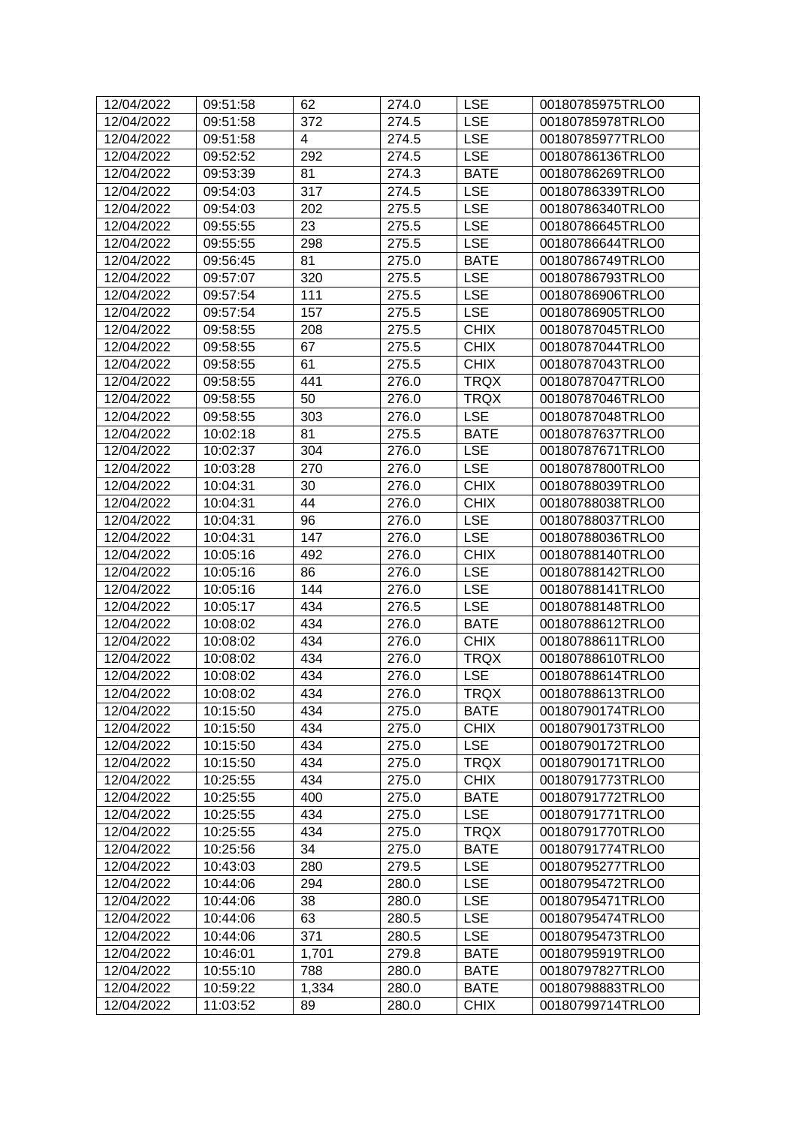| 12/04/2022 | 09:51:58 | 62    | 274.0 | <b>LSE</b>  | 00180785975TRLO0 |
|------------|----------|-------|-------|-------------|------------------|
| 12/04/2022 | 09:51:58 | 372   | 274.5 | <b>LSE</b>  | 00180785978TRLO0 |
| 12/04/2022 | 09:51:58 | 4     | 274.5 | <b>LSE</b>  | 00180785977TRLO0 |
| 12/04/2022 | 09:52:52 | 292   | 274.5 | <b>LSE</b>  | 00180786136TRLO0 |
| 12/04/2022 | 09:53:39 | 81    | 274.3 | <b>BATE</b> | 00180786269TRLO0 |
| 12/04/2022 | 09:54:03 | 317   | 274.5 | <b>LSE</b>  | 00180786339TRLO0 |
| 12/04/2022 | 09:54:03 | 202   | 275.5 | <b>LSE</b>  | 00180786340TRLO0 |
| 12/04/2022 | 09:55:55 | 23    | 275.5 | <b>LSE</b>  | 00180786645TRLO0 |
| 12/04/2022 | 09:55:55 | 298   | 275.5 | <b>LSE</b>  | 00180786644TRLO0 |
| 12/04/2022 | 09:56:45 | 81    | 275.0 | <b>BATE</b> | 00180786749TRLO0 |
| 12/04/2022 | 09:57:07 | 320   | 275.5 | <b>LSE</b>  | 00180786793TRLO0 |
| 12/04/2022 | 09:57:54 | 111   | 275.5 | <b>LSE</b>  | 00180786906TRLO0 |
| 12/04/2022 | 09:57:54 | 157   | 275.5 | <b>LSE</b>  | 00180786905TRLO0 |
| 12/04/2022 | 09:58:55 | 208   | 275.5 | <b>CHIX</b> | 00180787045TRLO0 |
| 12/04/2022 | 09:58:55 | 67    | 275.5 | <b>CHIX</b> | 00180787044TRLO0 |
| 12/04/2022 | 09:58:55 | 61    | 275.5 | <b>CHIX</b> | 00180787043TRLO0 |
| 12/04/2022 | 09:58:55 | 441   | 276.0 | <b>TRQX</b> | 00180787047TRLO0 |
| 12/04/2022 | 09:58:55 | 50    | 276.0 | <b>TRQX</b> | 00180787046TRLO0 |
| 12/04/2022 | 09:58:55 | 303   | 276.0 | <b>LSE</b>  | 00180787048TRLO0 |
| 12/04/2022 | 10:02:18 | 81    | 275.5 | <b>BATE</b> | 00180787637TRLO0 |
| 12/04/2022 | 10:02:37 | 304   | 276.0 | <b>LSE</b>  | 00180787671TRLO0 |
| 12/04/2022 | 10:03:28 | 270   | 276.0 | <b>LSE</b>  | 00180787800TRLO0 |
| 12/04/2022 | 10:04:31 | 30    | 276.0 | <b>CHIX</b> | 00180788039TRLO0 |
| 12/04/2022 | 10:04:31 | 44    | 276.0 | <b>CHIX</b> | 00180788038TRLO0 |
| 12/04/2022 | 10:04:31 | 96    | 276.0 | <b>LSE</b>  | 00180788037TRLO0 |
| 12/04/2022 | 10:04:31 | 147   | 276.0 | <b>LSE</b>  | 00180788036TRLO0 |
| 12/04/2022 | 10:05:16 | 492   | 276.0 | <b>CHIX</b> | 00180788140TRLO0 |
| 12/04/2022 | 10:05:16 | 86    | 276.0 | <b>LSE</b>  | 00180788142TRLO0 |
| 12/04/2022 | 10:05:16 | 144   | 276.0 | <b>LSE</b>  | 00180788141TRLO0 |
| 12/04/2022 | 10:05:17 | 434   | 276.5 | <b>LSE</b>  | 00180788148TRLO0 |
| 12/04/2022 | 10:08:02 | 434   | 276.0 | <b>BATE</b> | 00180788612TRLO0 |
| 12/04/2022 | 10:08:02 | 434   | 276.0 | <b>CHIX</b> | 00180788611TRLO0 |
| 12/04/2022 | 10:08:02 | 434   | 276.0 | <b>TRQX</b> | 00180788610TRLO0 |
| 12/04/2022 | 10:08:02 | 434   | 276.0 | <b>LSE</b>  | 00180788614TRLO0 |
| 12/04/2022 | 10:08:02 | 434   | 276.0 | <b>TRQX</b> | 00180788613TRLO0 |
| 12/04/2022 | 10:15:50 | 434   | 275.0 | <b>BATE</b> | 00180790174TRLO0 |
| 12/04/2022 | 10:15:50 | 434   | 275.0 | <b>CHIX</b> | 00180790173TRLO0 |
| 12/04/2022 | 10:15:50 | 434   | 275.0 | <b>LSE</b>  | 00180790172TRLO0 |
| 12/04/2022 | 10:15:50 | 434   | 275.0 | <b>TRQX</b> | 00180790171TRLO0 |
| 12/04/2022 | 10:25:55 | 434   | 275.0 | <b>CHIX</b> | 00180791773TRLO0 |
| 12/04/2022 | 10:25:55 | 400   | 275.0 | <b>BATE</b> | 00180791772TRLO0 |
| 12/04/2022 | 10:25:55 | 434   | 275.0 | <b>LSE</b>  | 00180791771TRLO0 |
| 12/04/2022 | 10:25:55 | 434   | 275.0 | <b>TRQX</b> | 00180791770TRLO0 |
| 12/04/2022 | 10:25:56 | 34    | 275.0 | <b>BATE</b> | 00180791774TRLO0 |
| 12/04/2022 | 10:43:03 | 280   | 279.5 | <b>LSE</b>  | 00180795277TRLO0 |
| 12/04/2022 | 10:44:06 | 294   | 280.0 | <b>LSE</b>  | 00180795472TRLO0 |
| 12/04/2022 | 10:44:06 | 38    | 280.0 | <b>LSE</b>  | 00180795471TRLO0 |
| 12/04/2022 | 10:44:06 | 63    | 280.5 | <b>LSE</b>  | 00180795474TRLO0 |
| 12/04/2022 | 10:44:06 | 371   | 280.5 | <b>LSE</b>  | 00180795473TRLO0 |
| 12/04/2022 | 10:46:01 | 1,701 | 279.8 | <b>BATE</b> | 00180795919TRLO0 |
| 12/04/2022 | 10:55:10 | 788   | 280.0 | <b>BATE</b> | 00180797827TRLO0 |
| 12/04/2022 | 10:59:22 | 1,334 | 280.0 | <b>BATE</b> | 00180798883TRLO0 |
| 12/04/2022 | 11:03:52 | 89    | 280.0 | <b>CHIX</b> | 00180799714TRLO0 |
|            |          |       |       |             |                  |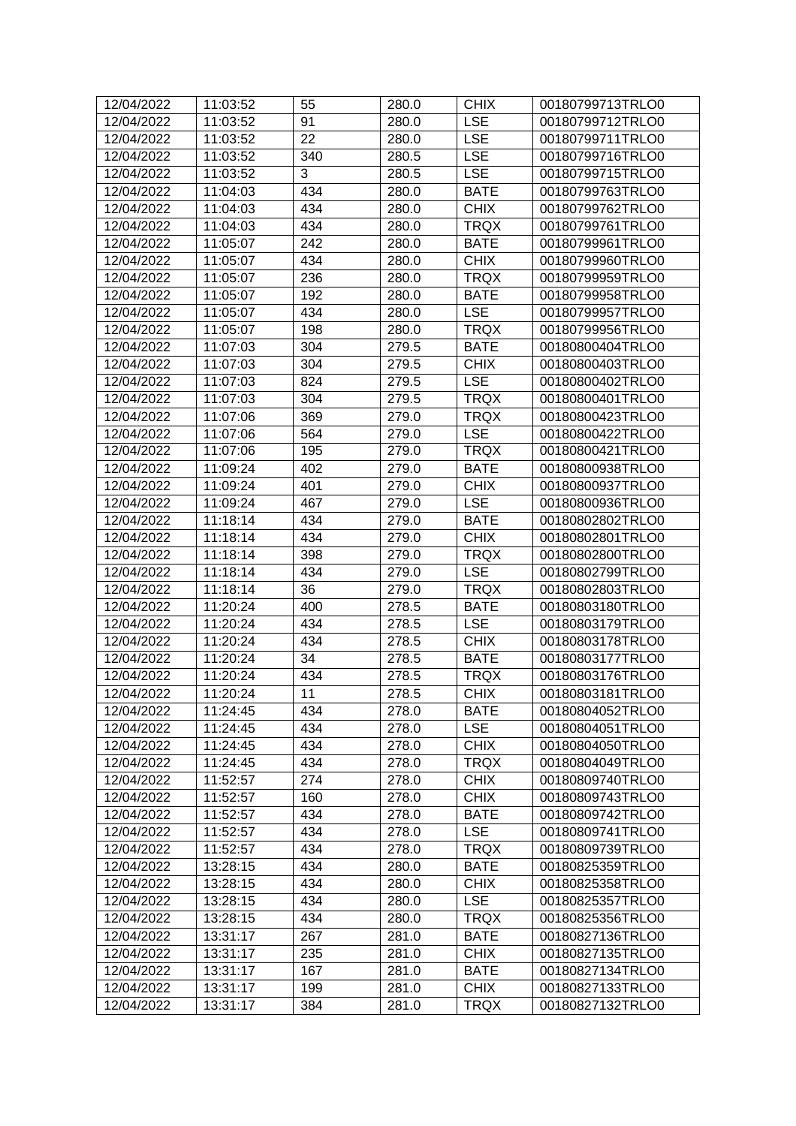| 12/04/2022 | 11:03:52 | 55  | 280.0 | <b>CHIX</b> | 00180799713TRLO0 |
|------------|----------|-----|-------|-------------|------------------|
| 12/04/2022 | 11:03:52 | 91  | 280.0 | <b>LSE</b>  | 00180799712TRLO0 |
| 12/04/2022 | 11:03:52 | 22  | 280.0 | <b>LSE</b>  | 00180799711TRLO0 |
| 12/04/2022 | 11:03:52 | 340 | 280.5 | <b>LSE</b>  | 00180799716TRLO0 |
| 12/04/2022 | 11:03:52 | 3   | 280.5 | <b>LSE</b>  | 00180799715TRLO0 |
| 12/04/2022 | 11:04:03 | 434 | 280.0 | <b>BATE</b> | 00180799763TRLO0 |
| 12/04/2022 | 11:04:03 | 434 | 280.0 | <b>CHIX</b> | 00180799762TRLO0 |
| 12/04/2022 | 11:04:03 | 434 | 280.0 | <b>TRQX</b> | 00180799761TRLO0 |
| 12/04/2022 | 11:05:07 | 242 | 280.0 | <b>BATE</b> | 00180799961TRLO0 |
| 12/04/2022 | 11:05:07 | 434 | 280.0 | <b>CHIX</b> | 00180799960TRLO0 |
| 12/04/2022 | 11:05:07 | 236 | 280.0 | <b>TRQX</b> | 00180799959TRLO0 |
| 12/04/2022 | 11:05:07 | 192 | 280.0 | <b>BATE</b> | 00180799958TRLO0 |
| 12/04/2022 | 11:05:07 | 434 | 280.0 | <b>LSE</b>  | 00180799957TRLO0 |
| 12/04/2022 | 11:05:07 | 198 | 280.0 | <b>TRQX</b> | 00180799956TRLO0 |
| 12/04/2022 | 11:07:03 | 304 | 279.5 | <b>BATE</b> | 00180800404TRLO0 |
| 12/04/2022 | 11:07:03 | 304 | 279.5 | <b>CHIX</b> | 00180800403TRLO0 |
| 12/04/2022 | 11:07:03 | 824 | 279.5 | <b>LSE</b>  | 00180800402TRLO0 |
| 12/04/2022 | 11:07:03 | 304 | 279.5 | <b>TRQX</b> | 00180800401TRLO0 |
| 12/04/2022 | 11:07:06 | 369 | 279.0 | <b>TRQX</b> | 00180800423TRLO0 |
| 12/04/2022 | 11:07:06 | 564 | 279.0 | <b>LSE</b>  | 00180800422TRLO0 |
| 12/04/2022 | 11:07:06 | 195 | 279.0 | <b>TRQX</b> | 00180800421TRLO0 |
| 12/04/2022 | 11:09:24 | 402 | 279.0 | <b>BATE</b> | 00180800938TRLO0 |
| 12/04/2022 | 11:09:24 | 401 | 279.0 | <b>CHIX</b> | 00180800937TRLO0 |
| 12/04/2022 | 11:09:24 | 467 | 279.0 | <b>LSE</b>  | 00180800936TRLO0 |
| 12/04/2022 | 11:18:14 | 434 | 279.0 | <b>BATE</b> | 00180802802TRLO0 |
| 12/04/2022 | 11:18:14 | 434 | 279.0 | <b>CHIX</b> | 00180802801TRLO0 |
| 12/04/2022 | 11:18:14 | 398 | 279.0 | <b>TRQX</b> | 00180802800TRLO0 |
| 12/04/2022 | 11:18:14 | 434 | 279.0 | <b>LSE</b>  | 00180802799TRLO0 |
| 12/04/2022 | 11:18:14 | 36  | 279.0 | <b>TRQX</b> | 00180802803TRLO0 |
| 12/04/2022 | 11:20:24 | 400 | 278.5 | <b>BATE</b> | 00180803180TRLO0 |
| 12/04/2022 | 11:20:24 | 434 | 278.5 | <b>LSE</b>  | 00180803179TRLO0 |
| 12/04/2022 | 11:20:24 | 434 | 278.5 | <b>CHIX</b> | 00180803178TRLO0 |
| 12/04/2022 | 11:20:24 | 34  | 278.5 | <b>BATE</b> | 00180803177TRLO0 |
| 12/04/2022 | 11:20:24 | 434 | 278.5 | <b>TRQX</b> | 00180803176TRLO0 |
| 12/04/2022 | 11:20:24 | 11  | 278.5 | <b>CHIX</b> | 00180803181TRLO0 |
| 12/04/2022 | 11:24:45 | 434 | 278.0 | <b>BATE</b> | 00180804052TRLO0 |
| 12/04/2022 | 11:24:45 | 434 | 278.0 | <b>LSE</b>  | 00180804051TRLO0 |
| 12/04/2022 | 11:24:45 | 434 | 278.0 | <b>CHIX</b> | 00180804050TRLO0 |
| 12/04/2022 | 11:24:45 | 434 | 278.0 | <b>TRQX</b> | 00180804049TRLO0 |
| 12/04/2022 | 11:52:57 | 274 | 278.0 | <b>CHIX</b> | 00180809740TRLO0 |
| 12/04/2022 | 11:52:57 | 160 | 278.0 | <b>CHIX</b> | 00180809743TRLO0 |
| 12/04/2022 | 11:52:57 | 434 | 278.0 | <b>BATE</b> | 00180809742TRLO0 |
| 12/04/2022 | 11:52:57 | 434 | 278.0 | <b>LSE</b>  | 00180809741TRLO0 |
| 12/04/2022 | 11:52:57 | 434 | 278.0 | <b>TRQX</b> | 00180809739TRLO0 |
| 12/04/2022 | 13:28:15 | 434 | 280.0 | <b>BATE</b> | 00180825359TRLO0 |
| 12/04/2022 | 13:28:15 | 434 | 280.0 | <b>CHIX</b> | 00180825358TRLO0 |
| 12/04/2022 | 13:28:15 | 434 | 280.0 | <b>LSE</b>  | 00180825357TRLO0 |
| 12/04/2022 | 13:28:15 | 434 | 280.0 | <b>TRQX</b> | 00180825356TRLO0 |
| 12/04/2022 | 13:31:17 | 267 | 281.0 | <b>BATE</b> | 00180827136TRLO0 |
| 12/04/2022 | 13:31:17 | 235 | 281.0 | <b>CHIX</b> | 00180827135TRLO0 |
| 12/04/2022 | 13:31:17 | 167 | 281.0 | <b>BATE</b> | 00180827134TRLO0 |
| 12/04/2022 | 13:31:17 | 199 | 281.0 | <b>CHIX</b> | 00180827133TRLO0 |
| 12/04/2022 | 13:31:17 | 384 | 281.0 | <b>TRQX</b> | 00180827132TRLO0 |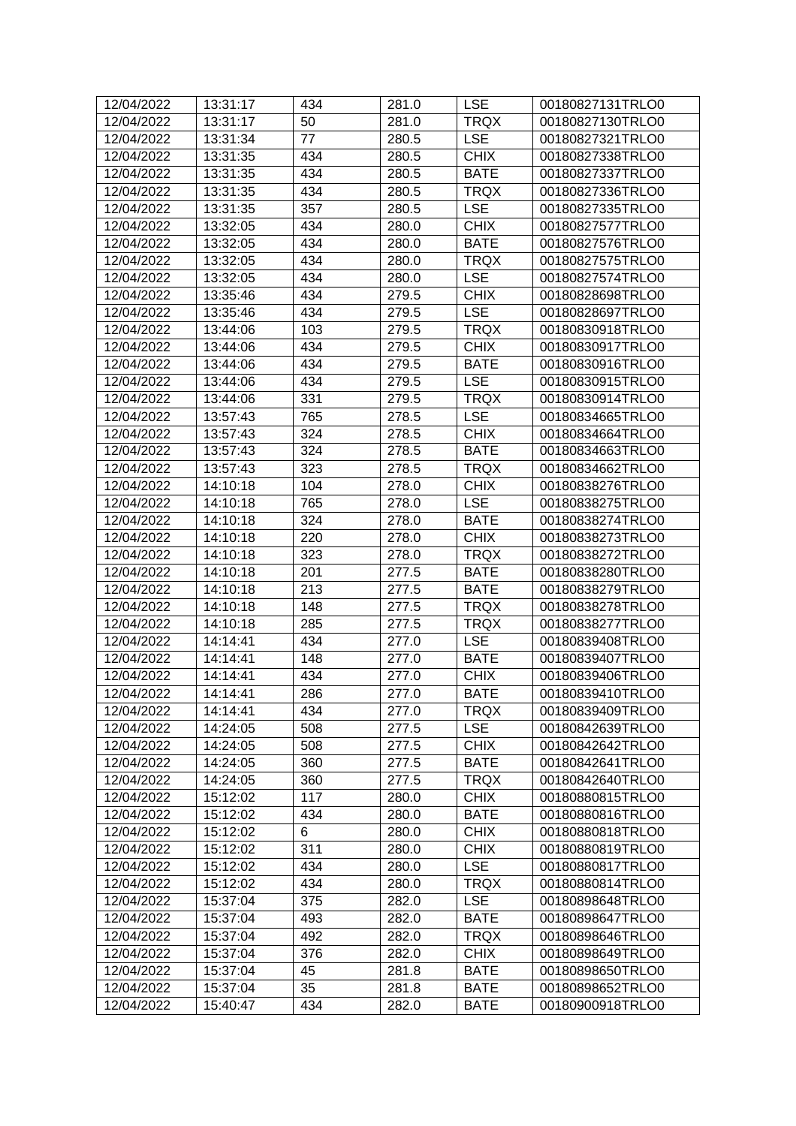| 12/04/2022               | 13:31:17             | 434        | 281.0          | <b>LSE</b>                 | 00180827131TRLO0                     |
|--------------------------|----------------------|------------|----------------|----------------------------|--------------------------------------|
| 12/04/2022               | 13:31:17             | 50         | 281.0          | <b>TRQX</b>                | 00180827130TRLO0                     |
| 12/04/2022               | 13:31:34             | 77         | 280.5          | <b>LSE</b>                 | 00180827321TRLO0                     |
| 12/04/2022               | 13:31:35             | 434        | 280.5          | <b>CHIX</b>                | 00180827338TRLO0                     |
| 12/04/2022               | 13:31:35             | 434        | 280.5          | <b>BATE</b>                | 00180827337TRLO0                     |
| 12/04/2022               | 13:31:35             | 434        | 280.5          | <b>TRQX</b>                | 00180827336TRLO0                     |
| 12/04/2022               | 13:31:35             | 357        | 280.5          | <b>LSE</b>                 | 00180827335TRLO0                     |
| 12/04/2022               | 13:32:05             | 434        | 280.0          | <b>CHIX</b>                | 00180827577TRLO0                     |
| 12/04/2022               | 13:32:05             | 434        | 280.0          | <b>BATE</b>                | 00180827576TRLO0                     |
| 12/04/2022               | 13:32:05             | 434        | 280.0          | <b>TRQX</b>                | 00180827575TRLO0                     |
| 12/04/2022               | 13:32:05             | 434        | 280.0          | <b>LSE</b>                 | 00180827574TRLO0                     |
| 12/04/2022               | 13:35:46             | 434        | 279.5          | <b>CHIX</b>                | 00180828698TRLO0                     |
| 12/04/2022               | 13:35:46             | 434        | 279.5          | <b>LSE</b>                 | 00180828697TRLO0                     |
| 12/04/2022               | 13:44:06             | 103        | 279.5          | <b>TRQX</b>                | 00180830918TRLO0                     |
| 12/04/2022               | 13:44:06             | 434        | 279.5          | <b>CHIX</b>                | 00180830917TRLO0                     |
| 12/04/2022               | 13:44:06             | 434        | 279.5          | <b>BATE</b>                | 00180830916TRLO0                     |
| 12/04/2022               | 13:44:06             | 434        | 279.5          | <b>LSE</b>                 | 00180830915TRLO0                     |
| 12/04/2022               | 13:44:06             | 331        | 279.5          | <b>TRQX</b>                | 00180830914TRLO0                     |
| 12/04/2022               | 13:57:43             | 765        | 278.5          | <b>LSE</b>                 | 00180834665TRLO0                     |
| 12/04/2022               | 13:57:43             | 324        | 278.5          | <b>CHIX</b>                | 00180834664TRLO0                     |
| 12/04/2022               | 13:57:43             | 324        | 278.5          | <b>BATE</b>                | 00180834663TRLO0                     |
| 12/04/2022               | 13:57:43             | 323        | 278.5          | <b>TRQX</b>                | 00180834662TRLO0                     |
| 12/04/2022               | 14:10:18             | 104        | 278.0          | <b>CHIX</b>                | 00180838276TRLO0                     |
| 12/04/2022               |                      |            |                | <b>LSE</b>                 |                                      |
| 12/04/2022               | 14:10:18<br>14:10:18 | 765<br>324 | 278.0<br>278.0 | <b>BATE</b>                | 00180838275TRLO0<br>00180838274TRLO0 |
|                          |                      |            |                |                            |                                      |
| 12/04/2022<br>12/04/2022 | 14:10:18<br>14:10:18 | 220<br>323 | 278.0          | <b>CHIX</b><br><b>TRQX</b> | 00180838273TRLO0                     |
| 12/04/2022               |                      |            | 278.0<br>277.5 | <b>BATE</b>                | 00180838272TRLO0                     |
| 12/04/2022               | 14:10:18<br>14:10:18 | 201<br>213 | 277.5          | <b>BATE</b>                | 00180838280TRLO0<br>00180838279TRLO0 |
|                          |                      | 148        |                | <b>TRQX</b>                |                                      |
| 12/04/2022               | 14:10:18<br>14:10:18 |            | 277.5          | <b>TRQX</b>                | 00180838278TRLO0                     |
| 12/04/2022               | 14:14:41             | 285<br>434 | 277.5          |                            | 00180838277TRLO0                     |
| 12/04/2022<br>12/04/2022 | 14:14:41             | 148        | 277.0<br>277.0 | <b>LSE</b><br><b>BATE</b>  | 00180839408TRLO0<br>00180839407TRLO0 |
| 12/04/2022               |                      | 434        |                | <b>CHIX</b>                | 00180839406TRLO0                     |
|                          | 14:14:41             |            | 277.0          |                            |                                      |
| 12/04/2022               | 14:14:41             | 286        | 277.0          | <b>BATE</b>                | 00180839410TRLO0                     |
| 12/04/2022               | 14:14:41             | 434        | 277.0          | TRQX                       | 00180839409TRLO0                     |
| 12/04/2022               | 14:24:05             | 508        | 277.5          | <b>LSE</b>                 | 00180842639TRLO0                     |
| 12/04/2022               | 14:24:05             | 508        | 277.5          | <b>CHIX</b>                | 00180842642TRLO0                     |
| 12/04/2022               | 14:24:05             | 360        | 277.5          | <b>BATE</b>                | 00180842641TRLO0                     |
| 12/04/2022               | 14:24:05             | 360        | 277.5          | <b>TRQX</b>                | 00180842640TRLO0                     |
| 12/04/2022               | 15:12:02             | 117        | 280.0          | <b>CHIX</b>                | 00180880815TRLO0                     |
| 12/04/2022               | 15:12:02             | 434        | 280.0          | <b>BATE</b>                | 00180880816TRLO0                     |
| 12/04/2022               | 15:12:02             | 6          | 280.0          | <b>CHIX</b>                | 00180880818TRLO0                     |
| 12/04/2022               | 15:12:02             | 311        | 280.0          | <b>CHIX</b>                | 00180880819TRLO0                     |
| 12/04/2022               | 15:12:02             | 434        | 280.0          | LSE                        | 00180880817TRLO0                     |
| 12/04/2022               | 15:12:02             | 434        | 280.0          | <b>TRQX</b>                | 00180880814TRLO0                     |
| 12/04/2022               | 15:37:04             | 375        | 282.0          | <b>LSE</b>                 | 00180898648TRLO0                     |
| 12/04/2022               | 15:37:04             | 493        | 282.0          | <b>BATE</b>                | 00180898647TRLO0                     |
| 12/04/2022               | 15:37:04             | 492        | 282.0          | <b>TRQX</b>                | 00180898646TRLO0                     |
| 12/04/2022               | 15:37:04             | 376        | 282.0          | <b>CHIX</b>                | 00180898649TRLO0                     |
| 12/04/2022               | 15:37:04             | 45         | 281.8          | <b>BATE</b>                | 00180898650TRLO0                     |
| 12/04/2022               | 15:37:04             | 35         | 281.8          | <b>BATE</b>                | 00180898652TRLO0                     |
| 12/04/2022               | 15:40:47             | 434        | 282.0          | <b>BATE</b>                | 00180900918TRLO0                     |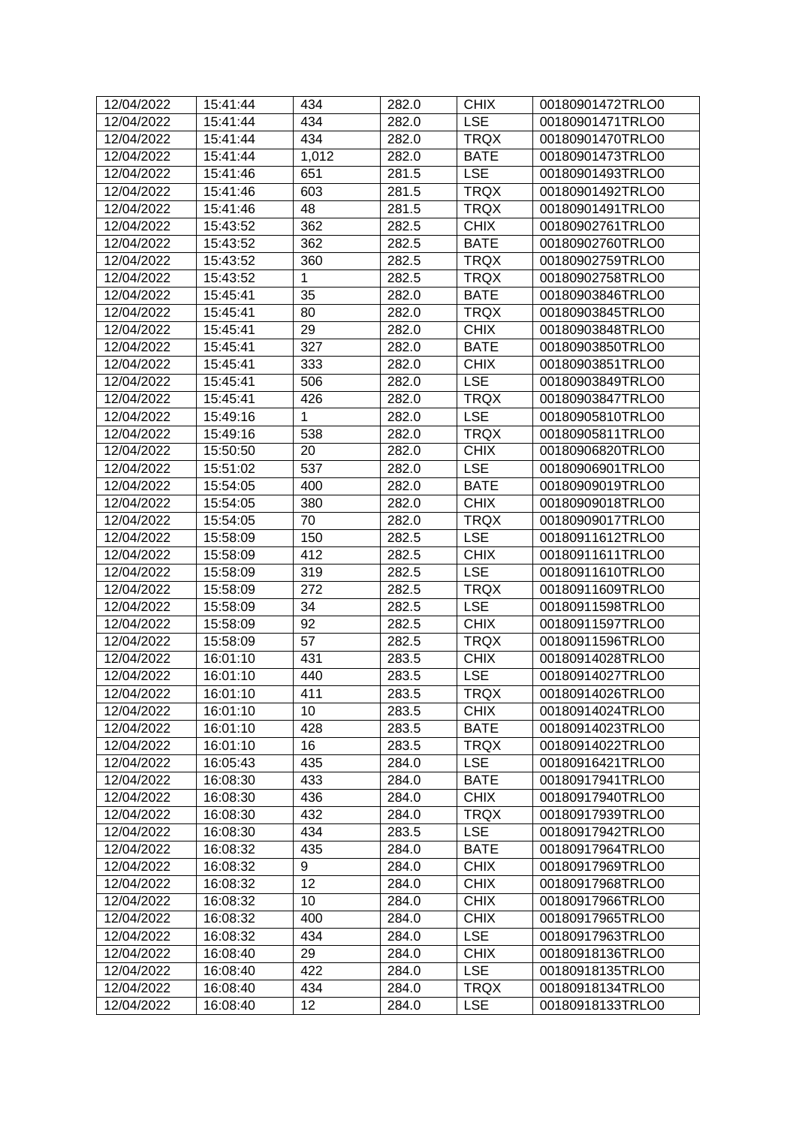| 12/04/2022 | 15:41:44 | 434   | 282.0 | <b>CHIX</b> | 00180901472TRLO0 |
|------------|----------|-------|-------|-------------|------------------|
| 12/04/2022 | 15:41:44 | 434   | 282.0 | <b>LSE</b>  | 00180901471TRLO0 |
| 12/04/2022 | 15:41:44 | 434   | 282.0 | <b>TRQX</b> | 00180901470TRLO0 |
| 12/04/2022 | 15:41:44 | 1,012 | 282.0 | <b>BATE</b> | 00180901473TRLO0 |
| 12/04/2022 | 15:41:46 | 651   | 281.5 | <b>LSE</b>  | 00180901493TRLO0 |
| 12/04/2022 | 15:41:46 | 603   | 281.5 | <b>TRQX</b> | 00180901492TRLO0 |
| 12/04/2022 | 15:41:46 | 48    | 281.5 | <b>TRQX</b> | 00180901491TRLO0 |
| 12/04/2022 | 15:43:52 | 362   | 282.5 | <b>CHIX</b> | 00180902761TRLO0 |
| 12/04/2022 | 15:43:52 | 362   | 282.5 | <b>BATE</b> | 00180902760TRLO0 |
| 12/04/2022 | 15:43:52 | 360   | 282.5 | <b>TRQX</b> | 00180902759TRLO0 |
| 12/04/2022 | 15:43:52 | 1     | 282.5 | <b>TRQX</b> | 00180902758TRLO0 |
| 12/04/2022 | 15:45:41 | 35    | 282.0 | <b>BATE</b> | 00180903846TRLO0 |
| 12/04/2022 | 15:45:41 | 80    | 282.0 | <b>TRQX</b> | 00180903845TRLO0 |
| 12/04/2022 | 15:45:41 | 29    | 282.0 | <b>CHIX</b> | 00180903848TRLO0 |
| 12/04/2022 | 15:45:41 | 327   | 282.0 | <b>BATE</b> | 00180903850TRLO0 |
| 12/04/2022 | 15:45:41 | 333   | 282.0 | <b>CHIX</b> | 00180903851TRLO0 |
| 12/04/2022 | 15:45:41 | 506   | 282.0 | <b>LSE</b>  | 00180903849TRLO0 |
| 12/04/2022 | 15:45:41 | 426   | 282.0 | <b>TRQX</b> | 00180903847TRLO0 |
| 12/04/2022 | 15:49:16 | 1     | 282.0 | <b>LSE</b>  | 00180905810TRLO0 |
| 12/04/2022 | 15:49:16 | 538   | 282.0 | <b>TRQX</b> | 00180905811TRLO0 |
| 12/04/2022 | 15:50:50 | 20    | 282.0 | <b>CHIX</b> | 00180906820TRLO0 |
| 12/04/2022 | 15:51:02 | 537   | 282.0 | <b>LSE</b>  | 00180906901TRLO0 |
| 12/04/2022 | 15:54:05 | 400   | 282.0 | <b>BATE</b> | 00180909019TRLO0 |
| 12/04/2022 | 15:54:05 | 380   | 282.0 | <b>CHIX</b> | 00180909018TRLO0 |
| 12/04/2022 | 15:54:05 | 70    | 282.0 | <b>TRQX</b> | 00180909017TRLO0 |
| 12/04/2022 | 15:58:09 | 150   | 282.5 | <b>LSE</b>  | 00180911612TRLO0 |
| 12/04/2022 | 15:58:09 | 412   | 282.5 | <b>CHIX</b> | 00180911611TRLO0 |
| 12/04/2022 | 15:58:09 | 319   | 282.5 | <b>LSE</b>  | 00180911610TRLO0 |
| 12/04/2022 | 15:58:09 | 272   | 282.5 | <b>TRQX</b> | 00180911609TRLO0 |
| 12/04/2022 | 15:58:09 | 34    | 282.5 | <b>LSE</b>  | 00180911598TRLO0 |
| 12/04/2022 | 15:58:09 | 92    | 282.5 | <b>CHIX</b> | 00180911597TRLO0 |
| 12/04/2022 | 15:58:09 | 57    | 282.5 | <b>TRQX</b> | 00180911596TRLO0 |
| 12/04/2022 | 16:01:10 | 431   | 283.5 | <b>CHIX</b> | 00180914028TRLO0 |
| 12/04/2022 | 16:01:10 | 440   | 283.5 | <b>LSE</b>  | 00180914027TRLO0 |
| 12/04/2022 | 16:01:10 | 411   | 283.5 | <b>TRQX</b> | 00180914026TRLO0 |
| 12/04/2022 | 16:01:10 | 10    | 283.5 | <b>CHIX</b> | 00180914024TRLO0 |
| 12/04/2022 | 16:01:10 | 428   | 283.5 | <b>BATE</b> | 00180914023TRLO0 |
| 12/04/2022 | 16:01:10 | 16    | 283.5 | <b>TRQX</b> | 00180914022TRLO0 |
| 12/04/2022 | 16:05:43 | 435   | 284.0 | <b>LSE</b>  | 00180916421TRLO0 |
| 12/04/2022 | 16:08:30 | 433   | 284.0 | <b>BATE</b> | 00180917941TRLO0 |
| 12/04/2022 | 16:08:30 | 436   | 284.0 | <b>CHIX</b> | 00180917940TRLO0 |
| 12/04/2022 | 16:08:30 | 432   | 284.0 | <b>TRQX</b> | 00180917939TRLO0 |
| 12/04/2022 | 16:08:30 | 434   | 283.5 | <b>LSE</b>  | 00180917942TRLO0 |
| 12/04/2022 | 16:08:32 | 435   | 284.0 | <b>BATE</b> | 00180917964TRLO0 |
| 12/04/2022 | 16:08:32 | 9     | 284.0 | <b>CHIX</b> | 00180917969TRLO0 |
| 12/04/2022 | 16:08:32 | 12    | 284.0 | <b>CHIX</b> | 00180917968TRLO0 |
| 12/04/2022 | 16:08:32 | 10    | 284.0 | <b>CHIX</b> | 00180917966TRLO0 |
| 12/04/2022 | 16:08:32 | 400   | 284.0 | <b>CHIX</b> | 00180917965TRLO0 |
| 12/04/2022 | 16:08:32 | 434   | 284.0 | <b>LSE</b>  | 00180917963TRLO0 |
| 12/04/2022 | 16:08:40 | 29    | 284.0 | <b>CHIX</b> | 00180918136TRLO0 |
| 12/04/2022 | 16:08:40 | 422   | 284.0 | <b>LSE</b>  | 00180918135TRLO0 |
| 12/04/2022 | 16:08:40 | 434   | 284.0 | <b>TRQX</b> | 00180918134TRLO0 |
| 12/04/2022 | 16:08:40 | 12    | 284.0 | <b>LSE</b>  | 00180918133TRLO0 |
|            |          |       |       |             |                  |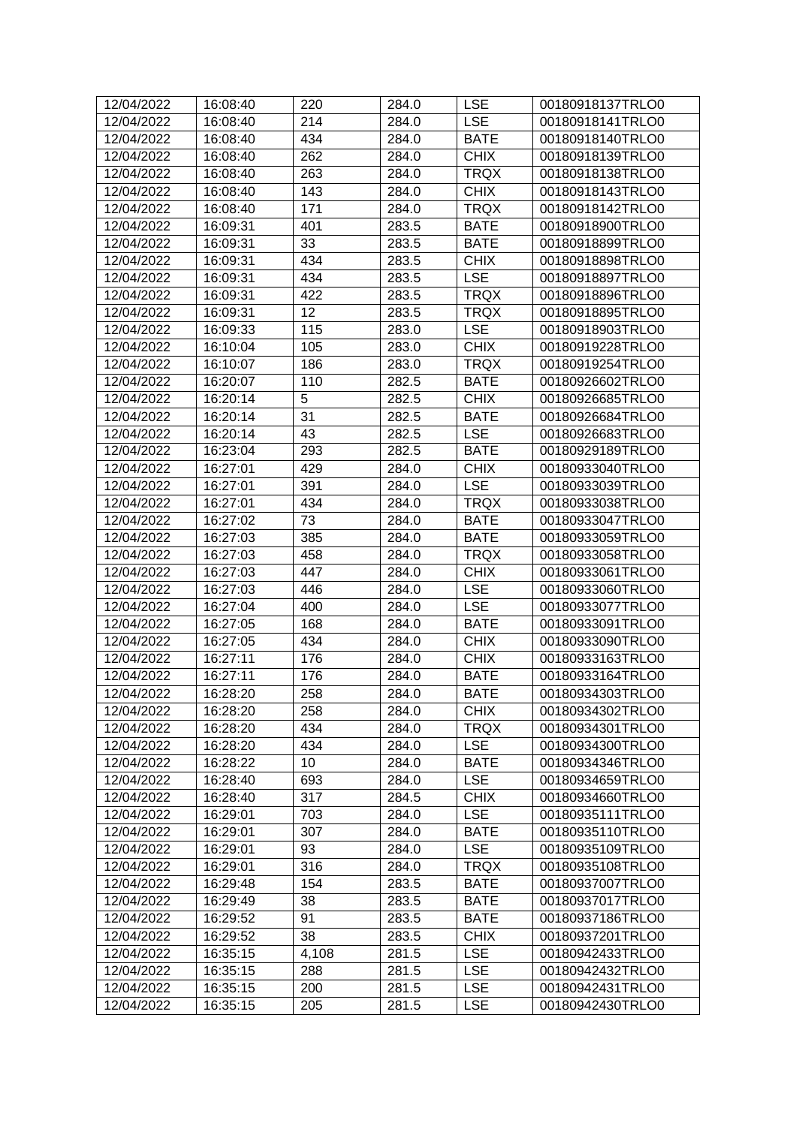| 12/04/2022 | 16:08:40 | 220   | 284.0 | <b>LSE</b>  | 00180918137TRLO0 |
|------------|----------|-------|-------|-------------|------------------|
| 12/04/2022 | 16:08:40 | 214   | 284.0 | <b>LSE</b>  | 00180918141TRLO0 |
| 12/04/2022 | 16:08:40 | 434   | 284.0 | <b>BATE</b> | 00180918140TRLO0 |
| 12/04/2022 | 16:08:40 | 262   | 284.0 | <b>CHIX</b> | 00180918139TRLO0 |
| 12/04/2022 | 16:08:40 | 263   | 284.0 | <b>TRQX</b> | 00180918138TRLO0 |
| 12/04/2022 | 16:08:40 | 143   | 284.0 | <b>CHIX</b> | 00180918143TRLO0 |
| 12/04/2022 | 16:08:40 | 171   | 284.0 | <b>TRQX</b> | 00180918142TRLO0 |
| 12/04/2022 | 16:09:31 | 401   | 283.5 | <b>BATE</b> | 00180918900TRLO0 |
| 12/04/2022 | 16:09:31 | 33    | 283.5 | <b>BATE</b> | 00180918899TRLO0 |
| 12/04/2022 | 16:09:31 | 434   | 283.5 | <b>CHIX</b> | 00180918898TRLO0 |
| 12/04/2022 | 16:09:31 | 434   | 283.5 | <b>LSE</b>  | 00180918897TRLO0 |
| 12/04/2022 | 16:09:31 | 422   | 283.5 | <b>TRQX</b> | 00180918896TRLO0 |
| 12/04/2022 | 16:09:31 | 12    | 283.5 | <b>TRQX</b> | 00180918895TRLO0 |
| 12/04/2022 | 16:09:33 | 115   | 283.0 | <b>LSE</b>  | 00180918903TRLO0 |
| 12/04/2022 | 16:10:04 | 105   | 283.0 | <b>CHIX</b> | 00180919228TRLO0 |
| 12/04/2022 | 16:10:07 | 186   | 283.0 | <b>TRQX</b> | 00180919254TRLO0 |
| 12/04/2022 | 16:20:07 | 110   | 282.5 | <b>BATE</b> | 00180926602TRLO0 |
| 12/04/2022 | 16:20:14 | 5     | 282.5 | <b>CHIX</b> | 00180926685TRLO0 |
| 12/04/2022 | 16:20:14 | 31    | 282.5 | <b>BATE</b> | 00180926684TRLO0 |
| 12/04/2022 | 16:20:14 | 43    | 282.5 | <b>LSE</b>  | 00180926683TRLO0 |
| 12/04/2022 | 16:23:04 | 293   | 282.5 | <b>BATE</b> | 00180929189TRLO0 |
| 12/04/2022 | 16:27:01 | 429   | 284.0 | <b>CHIX</b> | 00180933040TRLO0 |
| 12/04/2022 | 16:27:01 | 391   | 284.0 | <b>LSE</b>  | 00180933039TRLO0 |
| 12/04/2022 | 16:27:01 | 434   | 284.0 | <b>TRQX</b> | 00180933038TRLO0 |
| 12/04/2022 | 16:27:02 | 73    | 284.0 | <b>BATE</b> | 00180933047TRLO0 |
| 12/04/2022 | 16:27:03 | 385   | 284.0 | <b>BATE</b> | 00180933059TRLO0 |
| 12/04/2022 | 16:27:03 | 458   | 284.0 | <b>TRQX</b> | 00180933058TRLO0 |
| 12/04/2022 | 16:27:03 | 447   | 284.0 | <b>CHIX</b> | 00180933061TRLO0 |
| 12/04/2022 | 16:27:03 | 446   | 284.0 | <b>LSE</b>  | 00180933060TRLO0 |
| 12/04/2022 | 16:27:04 | 400   | 284.0 | <b>LSE</b>  | 00180933077TRLO0 |
| 12/04/2022 | 16:27:05 | 168   | 284.0 | <b>BATE</b> | 00180933091TRLO0 |
| 12/04/2022 | 16:27:05 | 434   | 284.0 | <b>CHIX</b> | 00180933090TRLO0 |
| 12/04/2022 | 16:27:11 | 176   | 284.0 | <b>CHIX</b> | 00180933163TRLO0 |
| 12/04/2022 | 16:27:11 | 176   | 284.0 | <b>BATE</b> | 00180933164TRLO0 |
| 12/04/2022 | 16:28:20 | 258   | 284.0 | <b>BATE</b> | 00180934303TRLO0 |
| 12/04/2022 | 16:28:20 | 258   | 284.0 | <b>CHIX</b> | 00180934302TRLO0 |
| 12/04/2022 | 16:28:20 | 434   | 284.0 | <b>TRQX</b> | 00180934301TRLO0 |
| 12/04/2022 | 16:28:20 | 434   | 284.0 | <b>LSE</b>  | 00180934300TRLO0 |
| 12/04/2022 | 16:28:22 | 10    | 284.0 | <b>BATE</b> | 00180934346TRLO0 |
| 12/04/2022 | 16:28:40 | 693   | 284.0 | <b>LSE</b>  | 00180934659TRLO0 |
| 12/04/2022 | 16:28:40 | 317   | 284.5 | <b>CHIX</b> | 00180934660TRLO0 |
| 12/04/2022 | 16:29:01 | 703   | 284.0 | <b>LSE</b>  | 00180935111TRLO0 |
| 12/04/2022 | 16:29:01 | 307   | 284.0 | <b>BATE</b> | 00180935110TRLO0 |
| 12/04/2022 | 16:29:01 | 93    | 284.0 | <b>LSE</b>  | 00180935109TRLO0 |
| 12/04/2022 | 16:29:01 | 316   | 284.0 | <b>TRQX</b> | 00180935108TRLO0 |
| 12/04/2022 | 16:29:48 | 154   | 283.5 | <b>BATE</b> | 00180937007TRLO0 |
| 12/04/2022 | 16:29:49 | 38    | 283.5 | <b>BATE</b> | 00180937017TRLO0 |
| 12/04/2022 | 16:29:52 | 91    | 283.5 | <b>BATE</b> | 00180937186TRLO0 |
| 12/04/2022 | 16:29:52 | 38    | 283.5 | <b>CHIX</b> | 00180937201TRLO0 |
| 12/04/2022 | 16:35:15 | 4,108 | 281.5 | <b>LSE</b>  | 00180942433TRLO0 |
| 12/04/2022 | 16:35:15 | 288   | 281.5 | <b>LSE</b>  | 00180942432TRLO0 |
| 12/04/2022 | 16:35:15 | 200   | 281.5 | <b>LSE</b>  | 00180942431TRLO0 |
| 12/04/2022 | 16:35:15 | 205   | 281.5 | <b>LSE</b>  | 00180942430TRLO0 |
|            |          |       |       |             |                  |